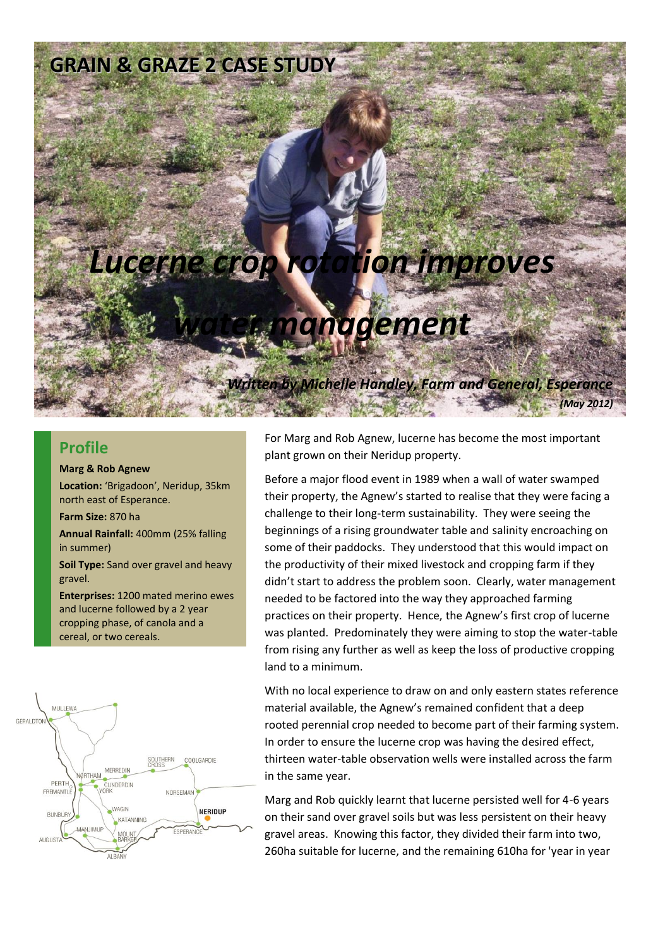### **GRAIN & GRAZE 2 CASE STUDY**

# *Lucerne crop rotation improves*

## *water management*

*Written by Michelle Handley, Farm and General, Esperance*

*(May 2012)*

#### **Profile**

#### **Marg & Rob Agnew**

**Location:** 'Brigadoon', Neridup, 35km north east of Esperance.

**Farm Size:** 870 ha

**Annual Rainfall:** 400mm (25% falling in summer)

**Soil Type:** Sand over gravel and heavy gravel.

**Enterprises:** 1200 mated merino ewes and lucerne followed by a 2 year cropping phase, of canola and a cereal, or two cereals.



For Marg and Rob Agnew, lucerne has become the most important plant grown on their Neridup property.

Before a major flood event in 1989 when a wall of water swamped their property, the Agnew's started to realise that they were facing a challenge to their long-term sustainability. They were seeing the beginnings of a rising groundwater table and salinity encroaching on some of their paddocks. They understood that this would impact on the productivity of their mixed livestock and cropping farm if they didn't start to address the problem soon. Clearly, water management needed to be factored into the way they approached farming practices on their property. Hence, the Agnew's first crop of lucerne was planted. Predominately they were aiming to stop the water-table from rising any further as well as keep the loss of productive cropping land to a minimum.

With no local experience to draw on and only eastern states reference material available, the Agnew's remained confident that a deep rooted perennial crop needed to become part of their farming system. In order to ensure the lucerne crop was having the desired effect, thirteen water-table observation wells were installed across the farm in the same year.

Marg and Rob quickly learnt that lucerne persisted well for 4-6 years on their sand over gravel soils but was less persistent on their heavy gravel areas. Knowing this factor, they divided their farm into two, 260ha suitable for lucerne, and the remaining 610ha for 'year in year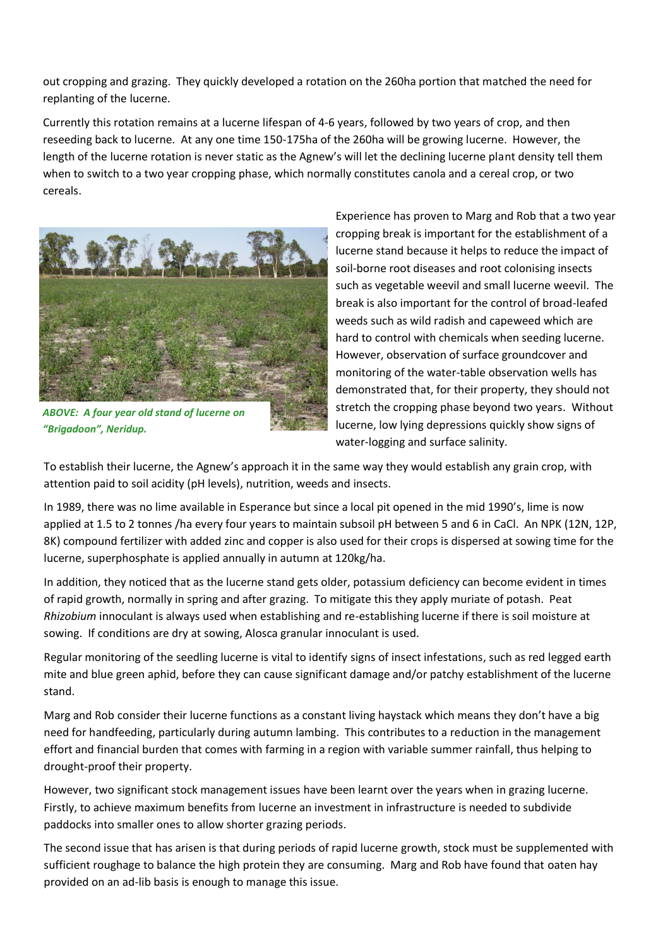out cropping and grazing. They quickly developed a rotation on the 260ha portion that matched the need for replanting of the lucerne.

Currently this rotation remains at a lucerne lifespan of 4-6 years, followed by two years of crop, and then reseeding back to lucerne. At any one time 150-175ha of the 260ha will be growing lucerne. However, the length of the lucerne rotation is never static as the Agnew's will let the declining lucerne plant density tell them when to switch to a two year cropping phase, which normally constitutes canola and a cereal crop, or two cereals.



*ABOVE: A four year old stand of lucerne on "Brigadoon", Neridup.*

Experience has proven to Marg and Rob that a two year cropping break is important for the establishment of a lucerne stand because it helps to reduce the impact of soil-borne root diseases and root colonising insects such as vegetable weevil and small lucerne weevil. The break is also important for the control of broad-leafed weeds such as wild radish and capeweed which are hard to control with chemicals when seeding lucerne. However, observation of surface groundcover and monitoring of the water-table observation wells has demonstrated that, for their property, they should not stretch the cropping phase beyond two years. Without lucerne, low lying depressions quickly show signs of water-logging and surface salinity.

To establish their lucerne, the Agnew's approach it in the same way they would establish any grain crop, with attention paid to soil acidity (pH levels), nutrition, weeds and insects.

In 1989, there was no lime available in Esperance but since a local pit opened in the mid 1990's, lime is now applied at 1.5 to 2 tonnes /ha every four years to maintain subsoil pH between 5 and 6 in CaCl. An NPK (12N, 12P, 8K) compound fertilizer with added zinc and copper is also used for their crops is dispersed at sowing time for the lucerne, superphosphate is applied annually in autumn at 120kg/ha.

In addition, they noticed that as the lucerne stand gets older, potassium deficiency can become evident in times of rapid growth, normally in spring and after grazing. To mitigate this they apply muriate of potash. Peat *Rhizobium* innoculant is always used when establishing and re-establishing lucerne if there is soil moisture at sowing. If conditions are dry at sowing, Alosca granular innoculant is used.

Regular monitoring of the seedling lucerne is vital to identify signs of insect infestations, such as red legged earth mite and blue green aphid, before they can cause significant damage and/or patchy establishment of the lucerne stand.

Marg and Rob consider their lucerne functions as a constant living haystack which means they don't have a big need for handfeeding, particularly during autumn lambing. This contributes to a reduction in the management effort and financial burden that comes with farming in a region with variable summer rainfall, thus helping to drought-proof their property.

However, two significant stock management issues have been learnt over the years when in grazing lucerne. Firstly, to achieve maximum benefits from lucerne an investment in infrastructure is needed to subdivide paddocks into smaller ones to allow shorter grazing periods.

The second issue that has arisen is that during periods of rapid lucerne growth, stock must be supplemented with sufficient roughage to balance the high protein they are consuming. Marg and Rob have found that oaten hay provided on an ad-lib basis is enough to manage this issue.